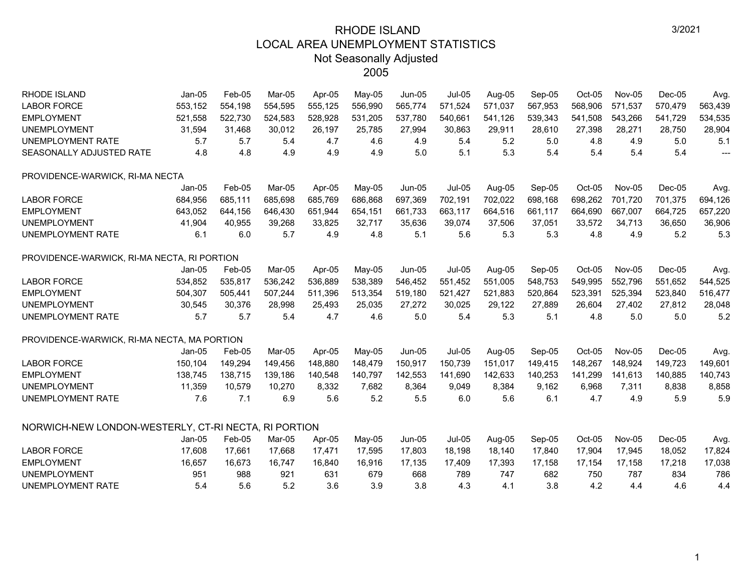| <b>RHODE ISLAND</b><br>$Jan-05$<br>Feb-05<br>Mar-05<br>Apr-05<br><b>LABOR FORCE</b><br>553,152<br>554,198<br>554,595<br>555,125<br>521,558<br><b>EMPLOYMENT</b><br>522,730<br>524,583<br>528,928<br><b>UNEMPLOYMENT</b><br>31,594<br>31,468<br>30,012<br>26,197<br><b>UNEMPLOYMENT RATE</b><br>5.7<br>5.7<br>5.4<br>4.7<br>4.8<br>SEASONALLY ADJUSTED RATE<br>4.8<br>4.9<br>4.9<br>PROVIDENCE-WARWICK, RI-MA NECTA<br>$Jan-05$<br>Feb-05<br>Mar-05<br>Apr-05<br>684,956<br>685,769<br><b>LABOR FORCE</b><br>685,111<br>685,698<br><b>EMPLOYMENT</b><br>643,052<br>644,156<br>646,430<br>651,944<br><b>UNEMPLOYMENT</b><br>41,904<br>40,955<br>39,268<br>33,825<br><b>UNEMPLOYMENT RATE</b><br>6.1<br>6.0<br>5.7<br>4.9<br>PROVIDENCE-WARWICK, RI-MA NECTA, RI PORTION<br>$Jan-05$<br>Mar-05<br>Apr-05<br>Feb-05<br><b>LABOR FORCE</b><br>534,852<br>535,817<br>536,242<br>536,889<br><b>EMPLOYMENT</b><br>504,307<br>511,396<br>505,441<br>507,244<br><b>UNEMPLOYMENT</b><br>30,545<br>30,376<br>28,998<br>25,493<br><b>UNEMPLOYMENT RATE</b><br>5.7<br>5.7<br>5.4<br>4.7<br>PROVIDENCE-WARWICK, RI-MA NECTA, MA PORTION<br>$Jan-05$<br>Mar-05<br>Apr-05<br>Feb-05<br><b>LABOR FORCE</b><br>150,104<br>149,294<br>148,880<br>149,456<br><b>EMPLOYMENT</b><br>138,745<br>138,715<br>139,186<br>140,548<br><b>UNEMPLOYMENT</b><br>11,359<br>10,579<br>8,332<br>10,270<br>7.1<br><b>UNEMPLOYMENT RATE</b><br>7.6<br>6.9<br>5.6<br>NORWICH-NEW LONDON-WESTERLY, CT-RI NECTA, RI PORTION<br>$Jan-05$<br>Feb-05<br>Mar-05<br>Apr-05<br><b>LABOR FORCE</b><br>17,608<br>17,668<br>17,471<br>17,661<br><b>EMPLOYMENT</b><br>16,657<br>16,673<br>16,747<br>16,840<br><b>UNEMPLOYMENT</b><br>951<br>988<br>631<br>921 |
|-------------------------------------------------------------------------------------------------------------------------------------------------------------------------------------------------------------------------------------------------------------------------------------------------------------------------------------------------------------------------------------------------------------------------------------------------------------------------------------------------------------------------------------------------------------------------------------------------------------------------------------------------------------------------------------------------------------------------------------------------------------------------------------------------------------------------------------------------------------------------------------------------------------------------------------------------------------------------------------------------------------------------------------------------------------------------------------------------------------------------------------------------------------------------------------------------------------------------------------------------------------------------------------------------------------------------------------------------------------------------------------------------------------------------------------------------------------------------------------------------------------------------------------------------------------------------------------------------------------------------------------------------------------------------------------------------------------|
|                                                                                                                                                                                                                                                                                                                                                                                                                                                                                                                                                                                                                                                                                                                                                                                                                                                                                                                                                                                                                                                                                                                                                                                                                                                                                                                                                                                                                                                                                                                                                                                                                                                                                                             |
|                                                                                                                                                                                                                                                                                                                                                                                                                                                                                                                                                                                                                                                                                                                                                                                                                                                                                                                                                                                                                                                                                                                                                                                                                                                                                                                                                                                                                                                                                                                                                                                                                                                                                                             |
|                                                                                                                                                                                                                                                                                                                                                                                                                                                                                                                                                                                                                                                                                                                                                                                                                                                                                                                                                                                                                                                                                                                                                                                                                                                                                                                                                                                                                                                                                                                                                                                                                                                                                                             |
|                                                                                                                                                                                                                                                                                                                                                                                                                                                                                                                                                                                                                                                                                                                                                                                                                                                                                                                                                                                                                                                                                                                                                                                                                                                                                                                                                                                                                                                                                                                                                                                                                                                                                                             |
|                                                                                                                                                                                                                                                                                                                                                                                                                                                                                                                                                                                                                                                                                                                                                                                                                                                                                                                                                                                                                                                                                                                                                                                                                                                                                                                                                                                                                                                                                                                                                                                                                                                                                                             |
|                                                                                                                                                                                                                                                                                                                                                                                                                                                                                                                                                                                                                                                                                                                                                                                                                                                                                                                                                                                                                                                                                                                                                                                                                                                                                                                                                                                                                                                                                                                                                                                                                                                                                                             |
|                                                                                                                                                                                                                                                                                                                                                                                                                                                                                                                                                                                                                                                                                                                                                                                                                                                                                                                                                                                                                                                                                                                                                                                                                                                                                                                                                                                                                                                                                                                                                                                                                                                                                                             |
|                                                                                                                                                                                                                                                                                                                                                                                                                                                                                                                                                                                                                                                                                                                                                                                                                                                                                                                                                                                                                                                                                                                                                                                                                                                                                                                                                                                                                                                                                                                                                                                                                                                                                                             |
|                                                                                                                                                                                                                                                                                                                                                                                                                                                                                                                                                                                                                                                                                                                                                                                                                                                                                                                                                                                                                                                                                                                                                                                                                                                                                                                                                                                                                                                                                                                                                                                                                                                                                                             |
|                                                                                                                                                                                                                                                                                                                                                                                                                                                                                                                                                                                                                                                                                                                                                                                                                                                                                                                                                                                                                                                                                                                                                                                                                                                                                                                                                                                                                                                                                                                                                                                                                                                                                                             |
|                                                                                                                                                                                                                                                                                                                                                                                                                                                                                                                                                                                                                                                                                                                                                                                                                                                                                                                                                                                                                                                                                                                                                                                                                                                                                                                                                                                                                                                                                                                                                                                                                                                                                                             |
|                                                                                                                                                                                                                                                                                                                                                                                                                                                                                                                                                                                                                                                                                                                                                                                                                                                                                                                                                                                                                                                                                                                                                                                                                                                                                                                                                                                                                                                                                                                                                                                                                                                                                                             |
|                                                                                                                                                                                                                                                                                                                                                                                                                                                                                                                                                                                                                                                                                                                                                                                                                                                                                                                                                                                                                                                                                                                                                                                                                                                                                                                                                                                                                                                                                                                                                                                                                                                                                                             |
|                                                                                                                                                                                                                                                                                                                                                                                                                                                                                                                                                                                                                                                                                                                                                                                                                                                                                                                                                                                                                                                                                                                                                                                                                                                                                                                                                                                                                                                                                                                                                                                                                                                                                                             |
|                                                                                                                                                                                                                                                                                                                                                                                                                                                                                                                                                                                                                                                                                                                                                                                                                                                                                                                                                                                                                                                                                                                                                                                                                                                                                                                                                                                                                                                                                                                                                                                                                                                                                                             |
|                                                                                                                                                                                                                                                                                                                                                                                                                                                                                                                                                                                                                                                                                                                                                                                                                                                                                                                                                                                                                                                                                                                                                                                                                                                                                                                                                                                                                                                                                                                                                                                                                                                                                                             |
|                                                                                                                                                                                                                                                                                                                                                                                                                                                                                                                                                                                                                                                                                                                                                                                                                                                                                                                                                                                                                                                                                                                                                                                                                                                                                                                                                                                                                                                                                                                                                                                                                                                                                                             |
|                                                                                                                                                                                                                                                                                                                                                                                                                                                                                                                                                                                                                                                                                                                                                                                                                                                                                                                                                                                                                                                                                                                                                                                                                                                                                                                                                                                                                                                                                                                                                                                                                                                                                                             |
|                                                                                                                                                                                                                                                                                                                                                                                                                                                                                                                                                                                                                                                                                                                                                                                                                                                                                                                                                                                                                                                                                                                                                                                                                                                                                                                                                                                                                                                                                                                                                                                                                                                                                                             |
|                                                                                                                                                                                                                                                                                                                                                                                                                                                                                                                                                                                                                                                                                                                                                                                                                                                                                                                                                                                                                                                                                                                                                                                                                                                                                                                                                                                                                                                                                                                                                                                                                                                                                                             |
|                                                                                                                                                                                                                                                                                                                                                                                                                                                                                                                                                                                                                                                                                                                                                                                                                                                                                                                                                                                                                                                                                                                                                                                                                                                                                                                                                                                                                                                                                                                                                                                                                                                                                                             |
|                                                                                                                                                                                                                                                                                                                                                                                                                                                                                                                                                                                                                                                                                                                                                                                                                                                                                                                                                                                                                                                                                                                                                                                                                                                                                                                                                                                                                                                                                                                                                                                                                                                                                                             |
|                                                                                                                                                                                                                                                                                                                                                                                                                                                                                                                                                                                                                                                                                                                                                                                                                                                                                                                                                                                                                                                                                                                                                                                                                                                                                                                                                                                                                                                                                                                                                                                                                                                                                                             |
|                                                                                                                                                                                                                                                                                                                                                                                                                                                                                                                                                                                                                                                                                                                                                                                                                                                                                                                                                                                                                                                                                                                                                                                                                                                                                                                                                                                                                                                                                                                                                                                                                                                                                                             |
|                                                                                                                                                                                                                                                                                                                                                                                                                                                                                                                                                                                                                                                                                                                                                                                                                                                                                                                                                                                                                                                                                                                                                                                                                                                                                                                                                                                                                                                                                                                                                                                                                                                                                                             |
|                                                                                                                                                                                                                                                                                                                                                                                                                                                                                                                                                                                                                                                                                                                                                                                                                                                                                                                                                                                                                                                                                                                                                                                                                                                                                                                                                                                                                                                                                                                                                                                                                                                                                                             |
|                                                                                                                                                                                                                                                                                                                                                                                                                                                                                                                                                                                                                                                                                                                                                                                                                                                                                                                                                                                                                                                                                                                                                                                                                                                                                                                                                                                                                                                                                                                                                                                                                                                                                                             |
|                                                                                                                                                                                                                                                                                                                                                                                                                                                                                                                                                                                                                                                                                                                                                                                                                                                                                                                                                                                                                                                                                                                                                                                                                                                                                                                                                                                                                                                                                                                                                                                                                                                                                                             |
|                                                                                                                                                                                                                                                                                                                                                                                                                                                                                                                                                                                                                                                                                                                                                                                                                                                                                                                                                                                                                                                                                                                                                                                                                                                                                                                                                                                                                                                                                                                                                                                                                                                                                                             |
| 5.6<br>5.2<br><b>UNEMPLOYMENT RATE</b><br>5.4<br>3.6                                                                                                                                                                                                                                                                                                                                                                                                                                                                                                                                                                                                                                                                                                                                                                                                                                                                                                                                                                                                                                                                                                                                                                                                                                                                                                                                                                                                                                                                                                                                                                                                                                                        |

1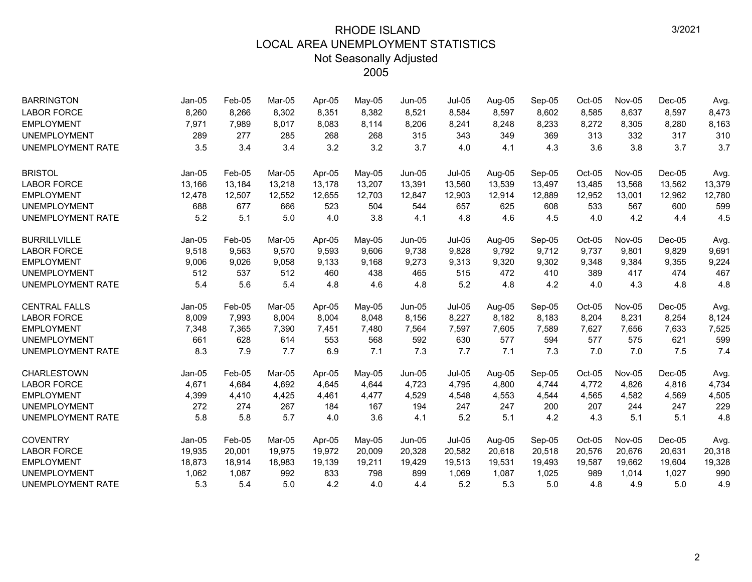| <b>BARRINGTON</b>        | Jan-05   | Feb-05 | Mar-05 | Apr-05 | May-05 | Jun-05   | <b>Jul-05</b> | Aug-05 | Sep-05 | Oct-05 | Nov-05 | $Dec-05$ | Avg.   |
|--------------------------|----------|--------|--------|--------|--------|----------|---------------|--------|--------|--------|--------|----------|--------|
| <b>LABOR FORCE</b>       | 8,260    | 8,266  | 8,302  | 8,351  | 8,382  | 8,521    | 8,584         | 8,597  | 8,602  | 8,585  | 8,637  | 8,597    | 8,473  |
| <b>EMPLOYMENT</b>        | 7,971    | 7,989  | 8,017  | 8,083  | 8,114  | 8,206    | 8,241         | 8,248  | 8,233  | 8,272  | 8,305  | 8,280    | 8,163  |
| <b>UNEMPLOYMENT</b>      | 289      | 277    | 285    | 268    | 268    | 315      | 343           | 349    | 369    | 313    | 332    | 317      | 310    |
| <b>UNEMPLOYMENT RATE</b> | 3.5      | 3.4    | 3.4    | 3.2    | 3.2    | 3.7      | 4.0           | 4.1    | 4.3    | 3.6    | 3.8    | 3.7      | 3.7    |
| <b>BRISTOL</b>           | $Jan-05$ | Feb-05 | Mar-05 | Apr-05 | May-05 | $Jun-05$ | $Jul-05$      | Aug-05 | Sep-05 | Oct-05 | Nov-05 | $Dec-05$ | Avg.   |
| <b>LABOR FORCE</b>       | 13,166   | 13,184 | 13,218 | 13,178 | 13,207 | 13,391   | 13,560        | 13,539 | 13,497 | 13,485 | 13,568 | 13,562   | 13,379 |
| <b>EMPLOYMENT</b>        | 12,478   | 12,507 | 12,552 | 12,655 | 12,703 | 12,847   | 12,903        | 12,914 | 12,889 | 12,952 | 13,001 | 12,962   | 12,780 |
| <b>UNEMPLOYMENT</b>      | 688      | 677    | 666    | 523    | 504    | 544      | 657           | 625    | 608    | 533    | 567    | 600      | 599    |
| <b>UNEMPLOYMENT RATE</b> | 5.2      | 5.1    | 5.0    | 4.0    | 3.8    | 4.1      | 4.8           | 4.6    | 4.5    | 4.0    | 4.2    | 4.4      | 4.5    |
| <b>BURRILLVILLE</b>      | $Jan-05$ | Feb-05 | Mar-05 | Apr-05 | May-05 | Jun-05   | <b>Jul-05</b> | Aug-05 | Sep-05 | Oct-05 | Nov-05 | $Dec-05$ | Avg.   |
| <b>LABOR FORCE</b>       | 9,518    | 9,563  | 9,570  | 9,593  | 9,606  | 9,738    | 9,828         | 9,792  | 9,712  | 9,737  | 9,801  | 9,829    | 9,691  |
| <b>EMPLOYMENT</b>        | 9,006    | 9,026  | 9,058  | 9,133  | 9,168  | 9,273    | 9,313         | 9,320  | 9,302  | 9,348  | 9,384  | 9,355    | 9,224  |
| <b>UNEMPLOYMENT</b>      | 512      | 537    | 512    | 460    | 438    | 465      | 515           | 472    | 410    | 389    | 417    | 474      | 467    |
| <b>UNEMPLOYMENT RATE</b> | 5.4      | 5.6    | 5.4    | 4.8    | 4.6    | 4.8      | 5.2           | 4.8    | 4.2    | 4.0    | 4.3    | 4.8      | 4.8    |
| <b>CENTRAL FALLS</b>     | Jan-05   | Feb-05 | Mar-05 | Apr-05 | May-05 | Jun-05   | <b>Jul-05</b> | Aug-05 | Sep-05 | Oct-05 | Nov-05 | $Dec-05$ | Avg.   |
| <b>LABOR FORCE</b>       | 8,009    | 7,993  | 8,004  | 8,004  | 8,048  | 8,156    | 8,227         | 8,182  | 8,183  | 8,204  | 8,231  | 8,254    | 8,124  |
| <b>EMPLOYMENT</b>        | 7,348    | 7,365  | 7,390  | 7,451  | 7,480  | 7,564    | 7,597         | 7,605  | 7,589  | 7,627  | 7,656  | 7,633    | 7,525  |
| <b>UNEMPLOYMENT</b>      | 661      | 628    | 614    | 553    | 568    | 592      | 630           | 577    | 594    | 577    | 575    | 621      | 599    |
| <b>UNEMPLOYMENT RATE</b> | 8.3      | 7.9    | 7.7    | 6.9    | 7.1    | 7.3      | 7.7           | 7.1    | 7.3    | 7.0    | 7.0    | 7.5      | 7.4    |
| <b>CHARLESTOWN</b>       | $Jan-05$ | Feb-05 | Mar-05 | Apr-05 | May-05 | Jun-05   | <b>Jul-05</b> | Aug-05 | Sep-05 | Oct-05 | Nov-05 | $Dec-05$ | Avg.   |
| <b>LABOR FORCE</b>       | 4,671    | 4,684  | 4,692  | 4,645  | 4,644  | 4,723    | 4,795         | 4,800  | 4,744  | 4,772  | 4,826  | 4,816    | 4,734  |
| <b>EMPLOYMENT</b>        | 4,399    | 4,410  | 4,425  | 4,461  | 4,477  | 4,529    | 4,548         | 4,553  | 4,544  | 4,565  | 4,582  | 4,569    | 4,505  |
| <b>UNEMPLOYMENT</b>      | 272      | 274    | 267    | 184    | 167    | 194      | 247           | 247    | 200    | 207    | 244    | 247      | 229    |
| <b>UNEMPLOYMENT RATE</b> | 5.8      | 5.8    | 5.7    | 4.0    | 3.6    | 4.1      | 5.2           | 5.1    | 4.2    | 4.3    | 5.1    | 5.1      | 4.8    |
| <b>COVENTRY</b>          | $Jan-05$ | Feb-05 | Mar-05 | Apr-05 | May-05 | $Jun-05$ | <b>Jul-05</b> | Aug-05 | Sep-05 | Oct-05 | Nov-05 | $Dec-05$ | Avg.   |
| <b>LABOR FORCE</b>       | 19,935   | 20,001 | 19,975 | 19,972 | 20,009 | 20,328   | 20,582        | 20,618 | 20,518 | 20,576 | 20,676 | 20,631   | 20,318 |
| <b>EMPLOYMENT</b>        | 18,873   | 18,914 | 18,983 | 19,139 | 19,211 | 19,429   | 19,513        | 19,531 | 19,493 | 19,587 | 19,662 | 19,604   | 19,328 |
| <b>UNEMPLOYMENT</b>      | 1,062    | 1,087  | 992    | 833    | 798    | 899      | 1,069         | 1,087  | 1,025  | 989    | 1,014  | 1,027    | 990    |
| <b>UNEMPLOYMENT RATE</b> | 5.3      | 5.4    | 5.0    | 4.2    | 4.0    | 4.4      | 5.2           | 5.3    | 5.0    | 4.8    | 4.9    | 5.0      | 4.9    |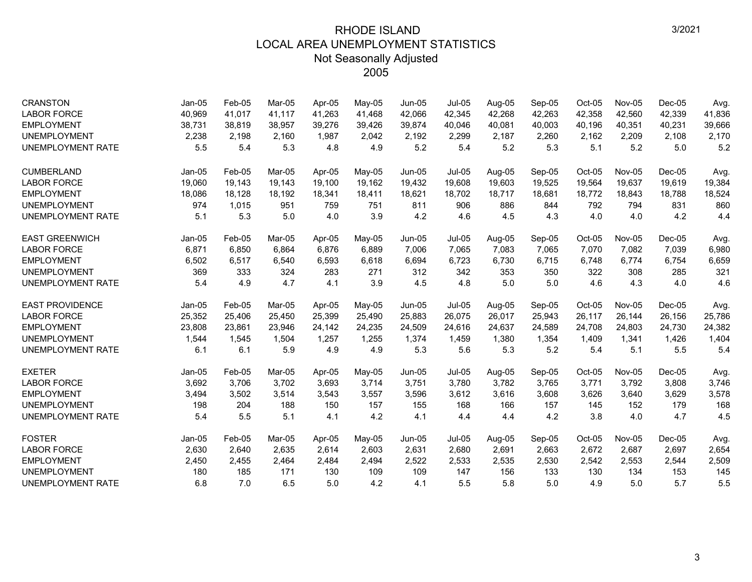| <b>CRANSTON</b>          | $Jan-05$ | Feb-05 | Mar-05 | Apr-05 | May-05 | Jun-05        | <b>Jul-05</b> | Aug-05 | Sep-05 | Oct-05   | <b>Nov-05</b> | $Dec-05$ | Avg.   |
|--------------------------|----------|--------|--------|--------|--------|---------------|---------------|--------|--------|----------|---------------|----------|--------|
| <b>LABOR FORCE</b>       | 40,969   | 41,017 | 41,117 | 41,263 | 41,468 | 42,066        | 42,345        | 42,268 | 42,263 | 42,358   | 42,560        | 42,339   | 41,836 |
| <b>EMPLOYMENT</b>        | 38,731   | 38,819 | 38,957 | 39,276 | 39,426 | 39,874        | 40,046        | 40,081 | 40,003 | 40,196   | 40,351        | 40,231   | 39,666 |
| <b>UNEMPLOYMENT</b>      | 2,238    | 2.198  | 2.160  | 1.987  | 2,042  | 2.192         | 2,299         | 2.187  | 2,260  | 2,162    | 2,209         | 2.108    | 2,170  |
| UNEMPLOYMENT RATE        | 5.5      | 5.4    | 5.3    | 4.8    | 4.9    | 5.2           | 5.4           | 5.2    | 5.3    | 5.1      | 5.2           | 5.0      | 5.2    |
| <b>CUMBERLAND</b>        | $Jan-05$ | Feb-05 | Mar-05 | Apr-05 | May-05 | <b>Jun-05</b> | <b>Jul-05</b> | Aug-05 | Sep-05 | $Oct-05$ | Nov-05        | $Dec-05$ | Avg.   |
| <b>LABOR FORCE</b>       | 19,060   | 19,143 | 19,143 | 19,100 | 19,162 | 19,432        | 19,608        | 19,603 | 19,525 | 19,564   | 19,637        | 19,619   | 19,384 |
| <b>EMPLOYMENT</b>        | 18,086   | 18,128 | 18.192 | 18,341 | 18,411 | 18,621        | 18.702        | 18.717 | 18,681 | 18,772   | 18,843        | 18.788   | 18,524 |
| <b>UNEMPLOYMENT</b>      | 974      | 1,015  | 951    | 759    | 751    | 811           | 906           | 886    | 844    | 792      | 794           | 831      | 860    |
| UNEMPLOYMENT RATE        | 5.1      | 5.3    | 5.0    | 4.0    | 3.9    | 4.2           | 4.6           | 4.5    | 4.3    | 4.0      | 4.0           | 4.2      | 4.4    |
| <b>EAST GREENWICH</b>    | $Jan-05$ | Feb-05 | Mar-05 | Apr-05 | May-05 | <b>Jun-05</b> | <b>Jul-05</b> | Aug-05 | Sep-05 | $Oct-05$ | Nov-05        | $Dec-05$ | Avg.   |
| <b>LABOR FORCE</b>       | 6,871    | 6,850  | 6,864  | 6,876  | 6,889  | 7,006         | 7,065         | 7,083  | 7,065  | 7,070    | 7,082         | 7,039    | 6,980  |
| <b>EMPLOYMENT</b>        | 6,502    | 6,517  | 6,540  | 6,593  | 6,618  | 6,694         | 6,723         | 6,730  | 6,715  | 6,748    | 6,774         | 6,754    | 6,659  |
| <b>UNEMPLOYMENT</b>      | 369      | 333    | 324    | 283    | 271    | 312           | 342           | 353    | 350    | 322      | 308           | 285      | 321    |
| <b>UNEMPLOYMENT RATE</b> | 5.4      | 4.9    | 4.7    | 4.1    | 3.9    | 4.5           | 4.8           | 5.0    | 5.0    | 4.6      | 4.3           | 4.0      | 4.6    |
| <b>EAST PROVIDENCE</b>   | $Jan-05$ | Feb-05 | Mar-05 | Apr-05 | May-05 | <b>Jun-05</b> | <b>Jul-05</b> | Aug-05 | Sep-05 | Oct-05   | Nov-05        | $Dec-05$ | Avg.   |
| <b>LABOR FORCE</b>       | 25,352   | 25,406 | 25,450 | 25,399 | 25,490 | 25,883        | 26,075        | 26,017 | 25,943 | 26,117   | 26,144        | 26,156   | 25,786 |
| <b>EMPLOYMENT</b>        | 23,808   | 23,861 | 23,946 | 24,142 | 24,235 | 24,509        | 24,616        | 24,637 | 24,589 | 24,708   | 24.803        | 24,730   | 24,382 |
| <b>UNEMPLOYMENT</b>      | 1,544    | 1,545  | 1,504  | 1,257  | 1,255  | 1,374         | 1,459         | 1,380  | 1,354  | 1,409    | 1,341         | 1,426    | 1,404  |
| UNEMPLOYMENT RATE        | 6.1      | 6.1    | 5.9    | 4.9    | 4.9    | 5.3           | 5.6           | 5.3    | 5.2    | 5.4      | 5.1           | 5.5      | 5.4    |
| <b>EXETER</b>            | Jan-05   | Feb-05 | Mar-05 | Apr-05 | May-05 | <b>Jun-05</b> | Jul-05        | Aug-05 | Sep-05 | Oct-05   | Nov-05        | $Dec-05$ | Avg.   |
| <b>LABOR FORCE</b>       | 3,692    | 3,706  | 3,702  | 3,693  | 3,714  | 3,751         | 3,780         | 3,782  | 3,765  | 3,771    | 3,792         | 3,808    | 3,746  |
| <b>EMPLOYMENT</b>        | 3,494    | 3,502  | 3,514  | 3,543  | 3,557  | 3,596         | 3,612         | 3,616  | 3,608  | 3,626    | 3,640         | 3,629    | 3,578  |
| <b>UNEMPLOYMENT</b>      | 198      | 204    | 188    | 150    | 157    | 155           | 168           | 166    | 157    | 145      | 152           | 179      | 168    |
| UNEMPLOYMENT RATE        | 5.4      | 5.5    | 5.1    | 4.1    | 4.2    | 4.1           | 4.4           | 4.4    | 4.2    | 3.8      | 4.0           | 4.7      | 4.5    |
| <b>FOSTER</b>            | $Jan-05$ | Feb-05 | Mar-05 | Apr-05 | May-05 | Jun-05        | <b>Jul-05</b> | Aug-05 | Sep-05 | Oct-05   | Nov-05        | $Dec-05$ | Avg.   |
| <b>LABOR FORCE</b>       | 2,630    | 2,640  | 2,635  | 2,614  | 2,603  | 2,631         | 2,680         | 2,691  | 2,663  | 2,672    | 2,687         | 2,697    | 2,654  |
| <b>EMPLOYMENT</b>        | 2,450    | 2,455  | 2,464  | 2,484  | 2,494  | 2,522         | 2,533         | 2,535  | 2,530  | 2,542    | 2,553         | 2,544    | 2,509  |
| <b>UNEMPLOYMENT</b>      | 180      | 185    | 171    | 130    | 109    | 109           | 147           | 156    | 133    | 130      | 134           | 153      | 145    |
| <b>UNEMPLOYMENT RATE</b> | 6.8      | 7.0    | 6.5    | 5.0    | 4.2    | 4.1           | 5.5           | 5.8    | 5.0    | 4.9      | 5.0           | 5.7      | 5.5    |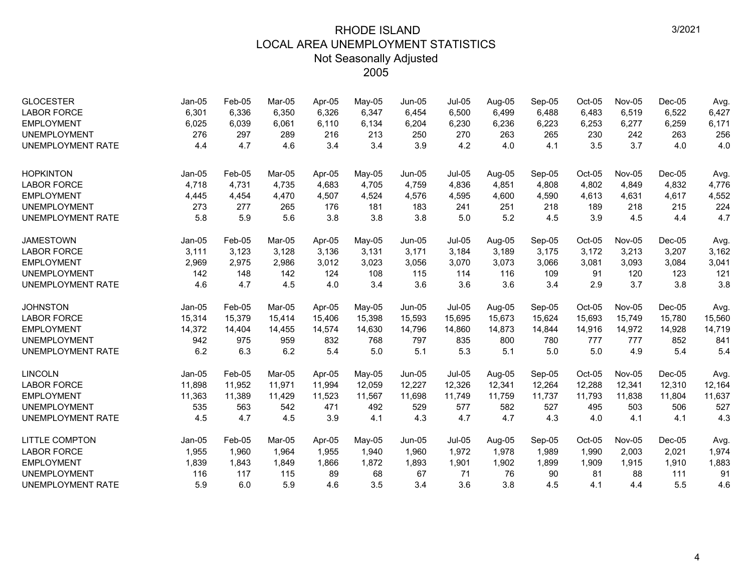| <b>GLOCESTER</b><br><b>LABOR FORCE</b><br><b>EMPLOYMENT</b><br><b>UNEMPLOYMENT</b><br><b>UNEMPLOYMENT RATE</b> | $Jan-05$<br>6,301<br>6,025<br>276<br>4.4 | Feb-05<br>6,336<br>6,039<br>297<br>4.7 | Mar-05<br>6,350<br>6,061<br>289<br>4.6 | Apr-05<br>6,326<br>6,110<br>216<br>3.4 | May-05<br>6,347<br>6,134<br>213<br>3.4 | $Jun-05$<br>6,454<br>6,204<br>250<br>3.9 | <b>Jul-05</b><br>6,500<br>6,230<br>270<br>4.2 | Aug-05<br>6,499<br>6,236<br>263<br>4.0 | Sep-05<br>6,488<br>6,223<br>265<br>4.1 | Oct-05<br>6,483<br>6,253<br>230<br>3.5 | <b>Nov-05</b><br>6,519<br>6,277<br>242<br>3.7 | $Dec-05$<br>6,522<br>6,259<br>263<br>4.0 | Avg.<br>6,427<br>6,171<br>256<br>4.0 |
|----------------------------------------------------------------------------------------------------------------|------------------------------------------|----------------------------------------|----------------------------------------|----------------------------------------|----------------------------------------|------------------------------------------|-----------------------------------------------|----------------------------------------|----------------------------------------|----------------------------------------|-----------------------------------------------|------------------------------------------|--------------------------------------|
| <b>HOPKINTON</b><br><b>LABOR FORCE</b>                                                                         | $Jan-05$<br>4,718                        | Feb-05<br>4,731                        | Mar-05<br>4,735                        | Apr-05<br>4,683                        | May-05<br>4,705                        | Jun-05<br>4,759                          | <b>Jul-05</b><br>4,836                        | Aug-05<br>4,851                        | Sep-05<br>4,808                        | Oct-05<br>4,802                        | <b>Nov-05</b><br>4,849                        | $Dec-05$<br>4,832                        | Avg.<br>4,776                        |
| <b>EMPLOYMENT</b>                                                                                              | 4,445                                    | 4,454                                  | 4,470                                  | 4,507                                  | 4,524                                  | 4,576                                    | 4,595                                         | 4,600                                  | 4,590                                  | 4,613                                  | 4,631                                         | 4,617                                    | 4,552                                |
| <b>UNEMPLOYMENT</b>                                                                                            | 273                                      | 277                                    | 265                                    | 176                                    | 181                                    | 183                                      | 241                                           | 251                                    | 218                                    | 189                                    | 218                                           | 215                                      | 224                                  |
| <b>UNEMPLOYMENT RATE</b>                                                                                       | 5.8                                      | 5.9                                    | 5.6                                    | 3.8                                    | 3.8                                    | 3.8                                      | 5.0                                           | 5.2                                    | 4.5                                    | 3.9                                    | 4.5                                           | 4.4                                      | 4.7                                  |
| <b>JAMESTOWN</b>                                                                                               | $Jan-05$                                 | Feb-05                                 | Mar-05                                 | Apr-05                                 | May-05                                 | $Jun-05$                                 | <b>Jul-05</b>                                 | Aug-05                                 | Sep-05                                 | Oct-05                                 | Nov-05                                        | $Dec-05$                                 | Avg.                                 |
| <b>LABOR FORCE</b>                                                                                             | 3,111                                    | 3,123                                  | 3,128                                  | 3,136                                  | 3,131                                  | 3,171                                    | 3,184                                         | 3,189                                  | 3,175                                  | 3,172                                  | 3,213                                         | 3,207                                    | 3,162                                |
| <b>EMPLOYMENT</b>                                                                                              | 2,969                                    | 2,975                                  | 2,986                                  | 3,012                                  | 3,023                                  | 3,056                                    | 3,070                                         | 3,073                                  | 3,066                                  | 3,081                                  | 3,093                                         | 3,084                                    | 3,041                                |
| <b>UNEMPLOYMENT</b>                                                                                            | 142                                      | 148                                    | 142                                    | 124                                    | 108                                    | 115                                      | 114                                           | 116                                    | 109                                    | 91                                     | 120                                           | 123                                      | 121                                  |
| <b>UNEMPLOYMENT RATE</b>                                                                                       | 4.6                                      | 4.7                                    | 4.5                                    | 4.0                                    | 3.4                                    | 3.6                                      | 3.6                                           | 3.6                                    | 3.4                                    | 2.9                                    | 3.7                                           | 3.8                                      | 3.8                                  |
| <b>JOHNSTON</b>                                                                                                | $Jan-05$                                 | Feb-05                                 | Mar-05                                 | Apr-05                                 | May-05                                 | Jun-05                                   | <b>Jul-05</b>                                 | Aug-05                                 | Sep-05                                 | Oct-05                                 | Nov-05                                        | $Dec-05$                                 | Avg.                                 |
| <b>LABOR FORCE</b>                                                                                             | 15,314                                   | 15,379                                 | 15,414                                 | 15,406                                 | 15,398                                 | 15,593                                   | 15,695                                        | 15,673                                 | 15,624                                 | 15,693                                 | 15,749                                        | 15,780                                   | 15,560                               |
| <b>EMPLOYMENT</b>                                                                                              | 14,372                                   | 14,404                                 | 14,455                                 | 14,574                                 | 14,630                                 | 14,796                                   | 14,860                                        | 14,873                                 | 14,844                                 | 14,916                                 | 14,972                                        | 14,928                                   | 14,719                               |
| <b>UNEMPLOYMENT</b>                                                                                            | 942                                      | 975                                    | 959                                    | 832                                    | 768                                    | 797                                      | 835                                           | 800                                    | 780                                    | 777                                    | 777                                           | 852                                      | 841                                  |
| <b>UNEMPLOYMENT RATE</b>                                                                                       | 6.2                                      | 6.3                                    | 6.2                                    | 5.4                                    | 5.0                                    | 5.1                                      | 5.3                                           | 5.1                                    | 5.0                                    | 5.0                                    | 4.9                                           | 5.4                                      | 5.4                                  |
| <b>LINCOLN</b>                                                                                                 | $Jan-05$                                 | Feb-05                                 | Mar-05                                 | Apr-05                                 | May-05                                 | Jun-05                                   | <b>Jul-05</b>                                 | Aug-05                                 | Sep-05                                 | Oct-05                                 | Nov-05                                        | $Dec-05$                                 | Avg.                                 |
| <b>LABOR FORCE</b>                                                                                             | 11,898                                   | 11,952                                 | 11,971                                 | 11,994                                 | 12,059                                 | 12,227                                   | 12,326                                        | 12,341                                 | 12,264                                 | 12,288                                 | 12,341                                        | 12,310                                   | 12,164                               |
| <b>EMPLOYMENT</b>                                                                                              | 11,363                                   | 11,389                                 | 11,429                                 | 11,523                                 | 11,567                                 | 11,698                                   | 11,749                                        | 11,759                                 | 11,737                                 | 11,793                                 | 11,838                                        | 11,804                                   | 11,637                               |
| <b>UNEMPLOYMENT</b>                                                                                            | 535                                      | 563                                    | 542                                    | 471                                    | 492                                    | 529                                      | 577                                           | 582                                    | 527                                    | 495                                    | 503                                           | 506                                      | 527                                  |
| <b>UNEMPLOYMENT RATE</b>                                                                                       | 4.5                                      | 4.7                                    | 4.5                                    | 3.9                                    | 4.1                                    | 4.3                                      | 4.7                                           | 4.7                                    | 4.3                                    | 4.0                                    | 4.1                                           | 4.1                                      | 4.3                                  |
| <b>LITTLE COMPTON</b>                                                                                          | $Jan-05$                                 | Feb-05                                 | Mar-05                                 | Apr-05                                 | May-05                                 | $Jun-05$                                 | $Jul-05$                                      | Aug-05                                 | Sep-05                                 | Oct-05                                 | Nov-05                                        | $Dec-05$                                 | Avg.                                 |
| <b>LABOR FORCE</b>                                                                                             | 1,955                                    | 1,960                                  | 1.964                                  | 1,955                                  | 1,940                                  | 1,960                                    | 1,972                                         | 1,978                                  | 1,989                                  | 1,990                                  | 2,003                                         | 2,021                                    | 1,974                                |
| <b>EMPLOYMENT</b>                                                                                              | 1,839                                    | 1,843                                  | 1,849                                  | 1,866                                  | 1,872                                  | 1,893                                    | 1,901                                         | 1,902                                  | 1,899                                  | 1,909                                  | 1,915                                         | 1,910                                    | 1,883                                |
| <b>UNEMPLOYMENT</b>                                                                                            | 116                                      | 117                                    | 115                                    | 89                                     | 68                                     | 67                                       | 71                                            | 76                                     | 90                                     | 81                                     | 88                                            | 111                                      | 91                                   |
| <b>UNEMPLOYMENT RATE</b>                                                                                       | 5.9                                      | 6.0                                    | 5.9                                    | 4.6                                    | 3.5                                    | 3.4                                      | 3.6                                           | 3.8                                    | 4.5                                    | 4.1                                    | 4.4                                           | 5.5                                      | 4.6                                  |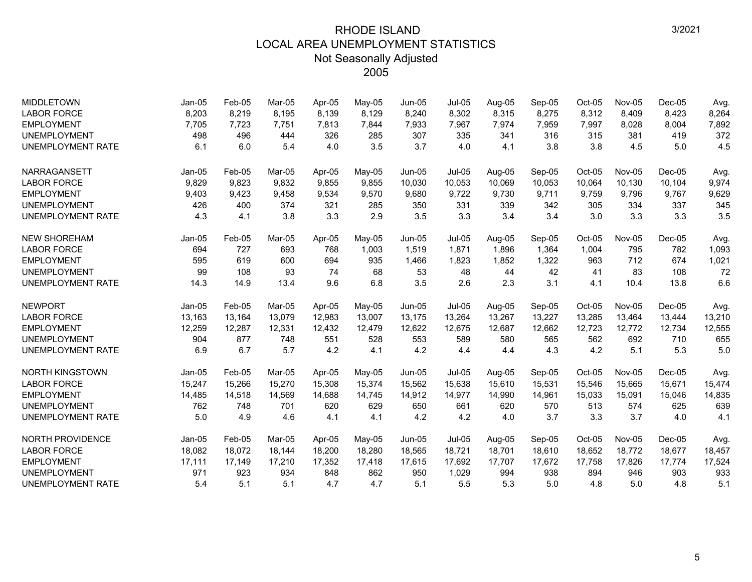| <b>MIDDLETOWN</b>        | $Jan-05$ | Feb-05 | Mar-05 | Apr-05 | May-05   | $Jun-05$      | <b>Jul-05</b> | Aug-05 | Sep-05 | Oct-05 | <b>Nov-05</b> | $Dec-05$ | Avg.   |
|--------------------------|----------|--------|--------|--------|----------|---------------|---------------|--------|--------|--------|---------------|----------|--------|
| <b>LABOR FORCE</b>       | 8,203    | 8,219  | 8,195  | 8,139  | 8,129    | 8,240         | 8,302         | 8,315  | 8,275  | 8,312  | 8,409         | 8,423    | 8,264  |
| <b>EMPLOYMENT</b>        | 7.705    | 7.723  | 7,751  | 7,813  | 7,844    | 7,933         | 7,967         | 7.974  | 7,959  | 7,997  | 8,028         | 8,004    | 7,892  |
| <b>UNEMPLOYMENT</b>      | 498      | 496    | 444    | 326    | 285      | 307           | 335           | 341    | 316    | 315    | 381           | 419      | 372    |
| <b>UNEMPLOYMENT RATE</b> | 6.1      | 6.0    | 5.4    | 4.0    | 3.5      | 3.7           | 4.0           | 4.1    | 3.8    | 3.8    | 4.5           | 5.0      | 4.5    |
| <b>NARRAGANSETT</b>      | $Jan-05$ | Feb-05 | Mar-05 | Apr-05 | $Mav-05$ | $Jun-05$      | <b>Jul-05</b> | Aug-05 | Sep-05 | Oct-05 | <b>Nov-05</b> | $Dec-05$ | Avg.   |
| <b>LABOR FORCE</b>       | 9,829    | 9,823  | 9,832  | 9,855  | 9,855    | 10,030        | 10,053        | 10,069 | 10,053 | 10,064 | 10,130        | 10,104   | 9,974  |
| <b>EMPLOYMENT</b>        | 9,403    | 9,423  | 9,458  | 9,534  | 9,570    | 9,680         | 9,722         | 9,730  | 9,711  | 9,759  | 9,796         | 9,767    | 9,629  |
| <b>UNEMPLOYMENT</b>      | 426      | 400    | 374    | 321    | 285      | 350           | 331           | 339    | 342    | 305    | 334           | 337      | 345    |
| <b>UNEMPLOYMENT RATE</b> | 4.3      | 4.1    | 3.8    | 3.3    | 2.9      | 3.5           | 3.3           | 3.4    | 3.4    | 3.0    | 3.3           | 3.3      | 3.5    |
| <b>NEW SHOREHAM</b>      | Jan-05   | Feb-05 | Mar-05 | Apr-05 | May-05   | $Jun-05$      | <b>Jul-05</b> | Aug-05 | Sep-05 | Oct-05 | Nov-05        | $Dec-05$ | Avg.   |
| <b>LABOR FORCE</b>       | 694      | 727    | 693    | 768    | 1,003    | 1,519         | 1,871         | 1,896  | 1,364  | 1,004  | 795           | 782      | 1,093  |
| <b>EMPLOYMENT</b>        | 595      | 619    | 600    | 694    | 935      | 1,466         | 1,823         | 1,852  | 1,322  | 963    | 712           | 674      | 1,021  |
| <b>UNEMPLOYMENT</b>      | 99       | 108    | 93     | 74     | 68       | 53            | 48            | 44     | 42     | 41     | 83            | 108      | 72     |
| <b>UNEMPLOYMENT RATE</b> | 14.3     | 14.9   | 13.4   | 9.6    | 6.8      | 3.5           | 2.6           | 2.3    | 3.1    | 4.1    | 10.4          | 13.8     | 6.6    |
| <b>NEWPORT</b>           | $Jan-05$ | Feb-05 | Mar-05 | Apr-05 | May-05   | $Jun-05$      | <b>Jul-05</b> | Aug-05 | Sep-05 | Oct-05 | Nov-05        | $Dec-05$ | Avg.   |
| <b>LABOR FORCE</b>       | 13,163   | 13,164 | 13,079 | 12,983 | 13,007   | 13,175        | 13,264        | 13,267 | 13,227 | 13,285 | 13,464        | 13,444   | 13,210 |
| <b>EMPLOYMENT</b>        | 12,259   | 12,287 | 12,331 | 12,432 | 12,479   | 12,622        | 12,675        | 12,687 | 12,662 | 12,723 | 12,772        | 12,734   | 12,555 |
| <b>UNEMPLOYMENT</b>      | 904      | 877    | 748    | 551    | 528      | 553           | 589           | 580    | 565    | 562    | 692           | 710      | 655    |
| <b>UNEMPLOYMENT RATE</b> | 6.9      | 6.7    | 5.7    | 4.2    | 4.1      | 4.2           | 4.4           | 4.4    | 4.3    | 4.2    | 5.1           | 5.3      | 5.0    |
| <b>NORTH KINGSTOWN</b>   | Jan-05   | Feb-05 | Mar-05 | Apr-05 | May-05   | Jun-05        | <b>Jul-05</b> | Aug-05 | Sep-05 | Oct-05 | Nov-05        | $Dec-05$ | Avg.   |
| <b>LABOR FORCE</b>       | 15,247   | 15,266 | 15,270 | 15,308 | 15,374   | 15,562        | 15,638        | 15,610 | 15,531 | 15,546 | 15,665        | 15,671   | 15,474 |
| <b>EMPLOYMENT</b>        | 14,485   | 14,518 | 14,569 | 14,688 | 14,745   | 14,912        | 14,977        | 14,990 | 14,961 | 15,033 | 15,091        | 15,046   | 14,835 |
| <b>UNEMPLOYMENT</b>      | 762      | 748    | 701    | 620    | 629      | 650           | 661           | 620    | 570    | 513    | 574           | 625      | 639    |
| <b>UNEMPLOYMENT RATE</b> | 5.0      | 4.9    | 4.6    | 4.1    | 4.1      | 4.2           | 4.2           | 4.0    | 3.7    | 3.3    | 3.7           | 4.0      | 4.1    |
| <b>NORTH PROVIDENCE</b>  | $Jan-05$ | Feb-05 | Mar-05 | Apr-05 | May-05   | <b>Jun-05</b> | $Jul-05$      | Aug-05 | Sep-05 | Oct-05 | Nov-05        | $Dec-05$ | Avg.   |
| <b>LABOR FORCE</b>       | 18,082   | 18,072 | 18,144 | 18,200 | 18,280   | 18,565        | 18,721        | 18,701 | 18,610 | 18,652 | 18,772        | 18,677   | 18,457 |
| <b>EMPLOYMENT</b>        | 17,111   | 17,149 | 17,210 | 17,352 | 17,418   | 17,615        | 17,692        | 17,707 | 17,672 | 17,758 | 17,826        | 17,774   | 17,524 |
| <b>UNEMPLOYMENT</b>      | 971      | 923    | 934    | 848    | 862      | 950           | 1,029         | 994    | 938    | 894    | 946           | 903      | 933    |
| <b>UNEMPLOYMENT RATE</b> | 5.4      | 5.1    | 5.1    | 4.7    | 4.7      | 5.1           | 5.5           | 5.3    | 5.0    | 4.8    | 5.0           | 4.8      | 5.1    |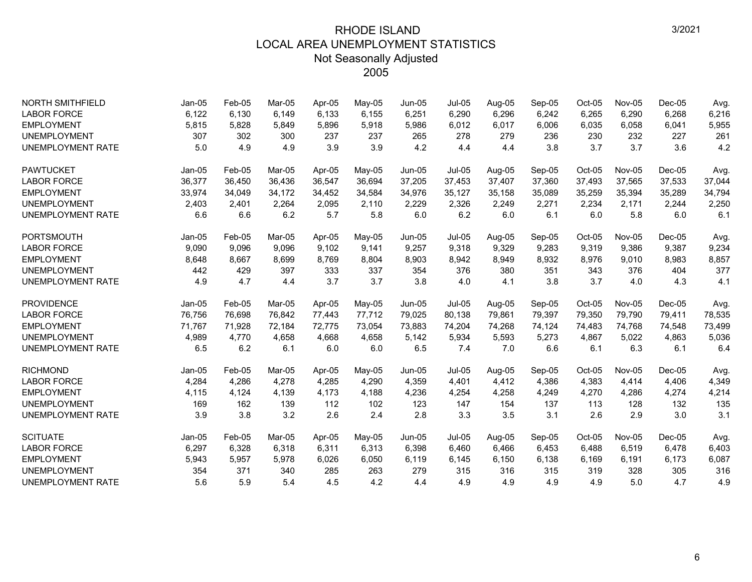| <b>NORTH SMITHFIELD</b>  | $Jan-05$ | Feb-05 | Mar-05 | Apr-05 | May-05 | Jun-05   | <b>Jul-05</b> | Aug-05 | Sep-05 | Oct-05 | <b>Nov-05</b> | $Dec-05$ | Avg.   |
|--------------------------|----------|--------|--------|--------|--------|----------|---------------|--------|--------|--------|---------------|----------|--------|
| <b>LABOR FORCE</b>       | 6,122    | 6,130  | 6,149  | 6,133  | 6,155  | 6,251    | 6,290         | 6,296  | 6,242  | 6,265  | 6,290         | 6,268    | 6,216  |
| <b>EMPLOYMENT</b>        | 5,815    | 5,828  | 5,849  | 5,896  | 5,918  | 5,986    | 6,012         | 6,017  | 6,006  | 6,035  | 6,058         | 6,041    | 5,955  |
| <b>UNEMPLOYMENT</b>      | 307      | 302    | 300    | 237    | 237    | 265      | 278           | 279    | 236    | 230    | 232           | 227      | 261    |
| <b>UNEMPLOYMENT RATE</b> | 5.0      | 4.9    | 4.9    | 3.9    | 3.9    | 4.2      | 4.4           | 4.4    | 3.8    | 3.7    | 3.7           | 3.6      | 4.2    |
| <b>PAWTUCKET</b>         | $Jan-05$ | Feb-05 | Mar-05 | Apr-05 | May-05 | Jun-05   | <b>Jul-05</b> | Aug-05 | Sep-05 | Oct-05 | Nov-05        | $Dec-05$ | Avg.   |
| <b>LABOR FORCE</b>       | 36,377   | 36,450 | 36,436 | 36,547 | 36,694 | 37,205   | 37,453        | 37,407 | 37,360 | 37,493 | 37,565        | 37,533   | 37,044 |
| <b>EMPLOYMENT</b>        | 33,974   | 34,049 | 34,172 | 34,452 | 34,584 | 34,976   | 35,127        | 35,158 | 35,089 | 35,259 | 35,394        | 35,289   | 34,794 |
| <b>UNEMPLOYMENT</b>      | 2,403    | 2,401  | 2,264  | 2,095  | 2,110  | 2,229    | 2,326         | 2,249  | 2,271  | 2,234  | 2,171         | 2,244    | 2,250  |
| <b>UNEMPLOYMENT RATE</b> | 6.6      | 6.6    | 6.2    | 5.7    | 5.8    | 6.0      | 6.2           | 6.0    | 6.1    | 6.0    | 5.8           | 6.0      | 6.1    |
| <b>PORTSMOUTH</b>        | $Jan-05$ | Feb-05 | Mar-05 | Apr-05 | May-05 | $Jun-05$ | <b>Jul-05</b> | Aug-05 | Sep-05 | Oct-05 | <b>Nov-05</b> | $Dec-05$ | Avg.   |
| <b>LABOR FORCE</b>       | 9,090    | 9,096  | 9,096  | 9,102  | 9,141  | 9,257    | 9,318         | 9,329  | 9,283  | 9,319  | 9,386         | 9,387    | 9,234  |
| <b>EMPLOYMENT</b>        | 8,648    | 8,667  | 8,699  | 8,769  | 8,804  | 8,903    | 8,942         | 8,949  | 8,932  | 8,976  | 9,010         | 8,983    | 8,857  |
| <b>UNEMPLOYMENT</b>      | 442      | 429    | 397    | 333    | 337    | 354      | 376           | 380    | 351    | 343    | 376           | 404      | 377    |
| <b>UNEMPLOYMENT RATE</b> | 4.9      | 4.7    | 4.4    | 3.7    | 3.7    | 3.8      | 4.0           | 4.1    | 3.8    | 3.7    | 4.0           | 4.3      | 4.1    |
| <b>PROVIDENCE</b>        | $Jan-05$ | Feb-05 | Mar-05 | Apr-05 | May-05 | Jun-05   | $Jul-05$      | Aug-05 | Sep-05 | Oct-05 | Nov-05        | $Dec-05$ | Avg.   |
| <b>LABOR FORCE</b>       | 76.756   | 76,698 | 76.842 | 77,443 | 77,712 | 79,025   | 80,138        | 79,861 | 79,397 | 79,350 | 79.790        | 79,411   | 78,535 |
| <b>EMPLOYMENT</b>        | 71,767   | 71,928 | 72,184 | 72,775 | 73,054 | 73,883   | 74,204        | 74,268 | 74,124 | 74,483 | 74,768        | 74,548   | 73,499 |
| <b>UNEMPLOYMENT</b>      | 4,989    | 4,770  | 4,658  | 4,668  | 4,658  | 5,142    | 5,934         | 5,593  | 5,273  | 4,867  | 5,022         | 4,863    | 5,036  |
| <b>UNEMPLOYMENT RATE</b> | 6.5      | 6.2    | 6.1    | 6.0    | 6.0    | 6.5      | 7.4           | 7.0    | 6.6    | 6.1    | 6.3           | 6.1      | 6.4    |
| <b>RICHMOND</b>          | $Jan-05$ | Feb-05 | Mar-05 | Apr-05 | May-05 | Jun-05   | Jul-05        | Aug-05 | Sep-05 | Oct-05 | Nov-05        | $Dec-05$ | Avg.   |
| <b>LABOR FORCE</b>       | 4,284    | 4,286  | 4,278  | 4,285  | 4,290  | 4,359    | 4,401         | 4,412  | 4,386  | 4,383  | 4,414         | 4,406    | 4,349  |
| <b>EMPLOYMENT</b>        | 4,115    | 4,124  | 4,139  | 4.173  | 4,188  | 4,236    | 4,254         | 4.258  | 4,249  | 4,270  | 4,286         | 4,274    | 4,214  |
| <b>UNEMPLOYMENT</b>      | 169      | 162    | 139    | 112    | 102    | 123      | 147           | 154    | 137    | 113    | 128           | 132      | 135    |
| <b>UNEMPLOYMENT RATE</b> | 3.9      | 3.8    | 3.2    | 2.6    | 2.4    | 2.8      | 3.3           | 3.5    | 3.1    | 2.6    | 2.9           | 3.0      | 3.1    |
| <b>SCITUATE</b>          | $Jan-05$ | Feb-05 | Mar-05 | Apr-05 | May-05 | Jun-05   | <b>Jul-05</b> | Aug-05 | Sep-05 | Oct-05 | Nov-05        | $Dec-05$ | Avg.   |
| <b>LABOR FORCE</b>       | 6,297    | 6,328  | 6,318  | 6,311  | 6,313  | 6,398    | 6,460         | 6,466  | 6,453  | 6,488  | 6,519         | 6,478    | 6,403  |
| <b>EMPLOYMENT</b>        | 5,943    | 5,957  | 5,978  | 6,026  | 6,050  | 6,119    | 6,145         | 6,150  | 6,138  | 6,169  | 6,191         | 6,173    | 6,087  |
| <b>UNEMPLOYMENT</b>      | 354      | 371    | 340    | 285    | 263    | 279      | 315           | 316    | 315    | 319    | 328           | 305      | 316    |
| <b>UNEMPLOYMENT RATE</b> | 5.6      | 5.9    | 5.4    | 4.5    | 4.2    | 4.4      | 4.9           | 4.9    | 4.9    | 4.9    | 5.0           | 4.7      | 4.9    |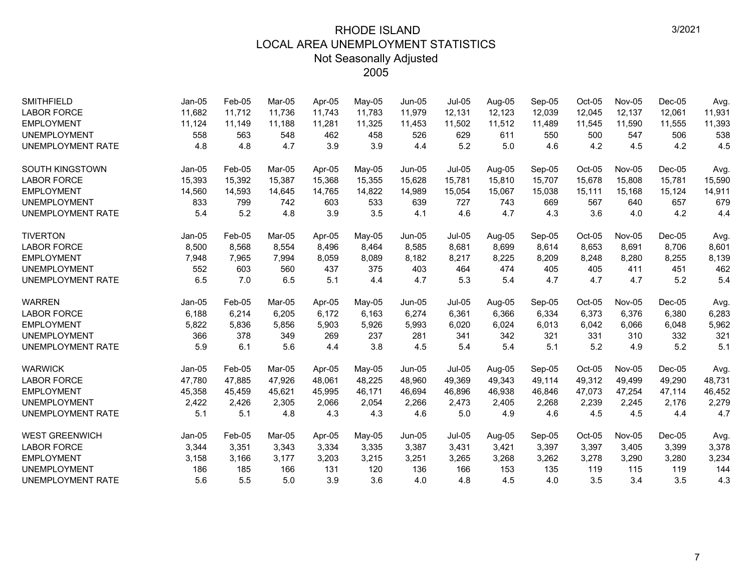| <b>SMITHFIELD</b>        | $Jan-05$ | Feb-05 | Mar-05 | Apr-05 | May-05 | Jun-05        | <b>Jul-05</b> | Aug-05 | Sep-05 | $Oct-05$ | <b>Nov-05</b> | $Dec-05$ | Avg.   |
|--------------------------|----------|--------|--------|--------|--------|---------------|---------------|--------|--------|----------|---------------|----------|--------|
| <b>LABOR FORCE</b>       | 11,682   | 11,712 | 11.736 | 11.743 | 11,783 | 11,979        | 12,131        | 12,123 | 12,039 | 12,045   | 12,137        | 12,061   | 11,931 |
| <b>EMPLOYMENT</b>        | 11,124   | 11,149 | 11,188 | 11,281 | 11,325 | 11,453        | 11,502        | 11,512 | 11,489 | 11,545   | 11,590        | 11,555   | 11,393 |
| <b>UNEMPLOYMENT</b>      | 558      | 563    | 548    | 462    | 458    | 526           | 629           | 611    | 550    | 500      | 547           | 506      | 538    |
| <b>UNEMPLOYMENT RATE</b> | 4.8      | 4.8    | 4.7    | 3.9    | 3.9    | 4.4           | 5.2           | 5.0    | 4.6    | 4.2      | 4.5           | 4.2      | 4.5    |
| <b>SOUTH KINGSTOWN</b>   | $Jan-05$ | Feb-05 | Mar-05 | Apr-05 | May-05 | <b>Jun-05</b> | <b>Jul-05</b> | Aug-05 | Sep-05 | Oct-05   | <b>Nov-05</b> | $Dec-05$ | Avg.   |
| <b>LABOR FORCE</b>       | 15,393   | 15,392 | 15,387 | 15,368 | 15,355 | 15,628        | 15,781        | 15,810 | 15,707 | 15,678   | 15,808        | 15,781   | 15,590 |
| <b>EMPLOYMENT</b>        | 14,560   | 14,593 | 14,645 | 14,765 | 14,822 | 14,989        | 15,054        | 15,067 | 15,038 | 15,111   | 15,168        | 15,124   | 14,911 |
| <b>UNEMPLOYMENT</b>      | 833      | 799    | 742    | 603    | 533    | 639           | 727           | 743    | 669    | 567      | 640           | 657      | 679    |
| <b>UNEMPLOYMENT RATE</b> | 5.4      | 5.2    | 4.8    | 3.9    | 3.5    | 4.1           | 4.6           | 4.7    | 4.3    | 3.6      | 4.0           | 4.2      | 4.4    |
| <b>TIVERTON</b>          | $Jan-05$ | Feb-05 | Mar-05 | Apr-05 | May-05 | $Jun-05$      | Jul-05        | Aug-05 | Sep-05 | Oct-05   | <b>Nov-05</b> | $Dec-05$ | Avg.   |
| <b>LABOR FORCE</b>       | 8,500    | 8,568  | 8,554  | 8,496  | 8,464  | 8,585         | 8,681         | 8,699  | 8,614  | 8,653    | 8,691         | 8,706    | 8,601  |
| <b>EMPLOYMENT</b>        | 7,948    | 7,965  | 7,994  | 8,059  | 8,089  | 8,182         | 8,217         | 8,225  | 8,209  | 8,248    | 8,280         | 8,255    | 8,139  |
| <b>UNEMPLOYMENT</b>      | 552      | 603    | 560    | 437    | 375    | 403           | 464           | 474    | 405    | 405      | 411           | 451      | 462    |
| <b>UNEMPLOYMENT RATE</b> | 6.5      | 7.0    | 6.5    | 5.1    | 4.4    | 4.7           | 5.3           | 5.4    | 4.7    | 4.7      | 4.7           | 5.2      | 5.4    |
| <b>WARREN</b>            | $Jan-05$ | Feb-05 | Mar-05 | Apr-05 | May-05 | Jun-05        | <b>Jul-05</b> | Aug-05 | Sep-05 | $Oct-05$ | Nov-05        | $Dec-05$ | Avg.   |
| <b>LABOR FORCE</b>       | 6,188    | 6,214  | 6,205  | 6,172  | 6,163  | 6,274         | 6,361         | 6,366  | 6,334  | 6,373    | 6,376         | 6,380    | 6,283  |
| <b>EMPLOYMENT</b>        | 5,822    | 5,836  | 5,856  | 5,903  | 5,926  | 5,993         | 6,020         | 6,024  | 6,013  | 6,042    | 6,066         | 6,048    | 5,962  |
| <b>UNEMPLOYMENT</b>      | 366      | 378    | 349    | 269    | 237    | 281           | 341           | 342    | 321    | 331      | 310           | 332      | 321    |
| <b>UNEMPLOYMENT RATE</b> | 5.9      | 6.1    | 5.6    | 4.4    | 3.8    | 4.5           | 5.4           | 5.4    | 5.1    | 5.2      | 4.9           | 5.2      | 5.1    |
| <b>WARWICK</b>           | Jan-05   | Feb-05 | Mar-05 | Apr-05 | May-05 | <b>Jun-05</b> | <b>Jul-05</b> | Aug-05 | Sep-05 | Oct-05   | <b>Nov-05</b> | $Dec-05$ | Avg.   |
| <b>LABOR FORCE</b>       | 47,780   | 47,885 | 47,926 | 48,061 | 48,225 | 48,960        | 49,369        | 49,343 | 49,114 | 49,312   | 49,499        | 49,290   | 48,731 |
| <b>EMPLOYMENT</b>        | 45,358   | 45,459 | 45.621 | 45,995 | 46,171 | 46,694        | 46,896        | 46,938 | 46,846 | 47,073   | 47,254        | 47,114   | 46,452 |
| <b>UNEMPLOYMENT</b>      | 2,422    | 2,426  | 2,305  | 2,066  | 2,054  | 2,266         | 2,473         | 2,405  | 2,268  | 2,239    | 2,245         | 2,176    | 2,279  |
| <b>UNEMPLOYMENT RATE</b> | 5.1      | 5.1    | 4.8    | 4.3    | 4.3    | 4.6           | 5.0           | 4.9    | 4.6    | 4.5      | 4.5           | 4.4      | 4.7    |
| <b>WEST GREENWICH</b>    | $Jan-05$ | Feb-05 | Mar-05 | Apr-05 | May-05 | $Jun-05$      | Jul-05        | Aug-05 | Sep-05 | Oct-05   | <b>Nov-05</b> | $Dec-05$ | Avg.   |
| <b>LABOR FORCE</b>       | 3,344    | 3,351  | 3,343  | 3,334  | 3,335  | 3,387         | 3,431         | 3,421  | 3,397  | 3,397    | 3,405         | 3,399    | 3,378  |
| <b>EMPLOYMENT</b>        | 3,158    | 3,166  | 3,177  | 3,203  | 3,215  | 3,251         | 3,265         | 3,268  | 3,262  | 3,278    | 3,290         | 3,280    | 3,234  |
| <b>UNEMPLOYMENT</b>      | 186      | 185    | 166    | 131    | 120    | 136           | 166           | 153    | 135    | 119      | 115           | 119      | 144    |
| <b>UNEMPLOYMENT RATE</b> | 5.6      | 5.5    | 5.0    | 3.9    | 3.6    | 4.0           | 4.8           | 4.5    | 4.0    | 3.5      | 3.4           | 3.5      | 4.3    |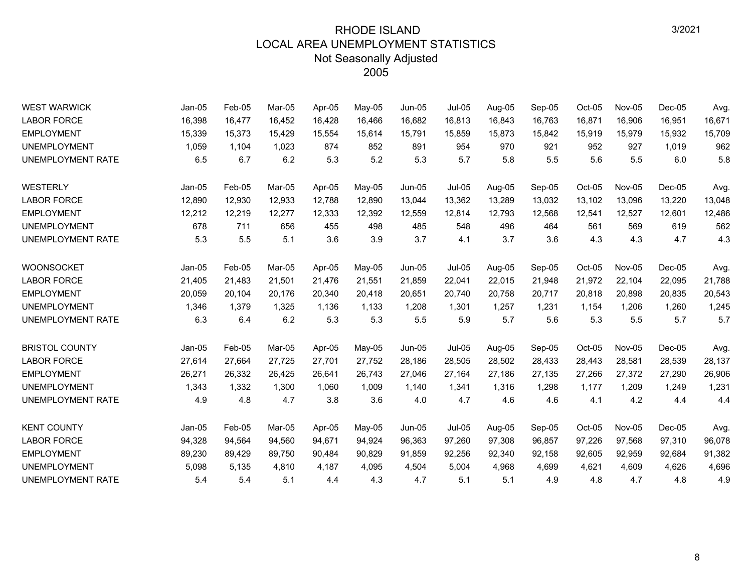| <b>WEST WARWICK</b>      | Jan-05   | $Feb-05$ | Mar-05 | Apr-05 | May-05 | Jun-05        | <b>Jul-05</b> | Aug-05 | Sep-05 | Oct-05 | <b>Nov-05</b> | $Dec-05$ | Avg.   |
|--------------------------|----------|----------|--------|--------|--------|---------------|---------------|--------|--------|--------|---------------|----------|--------|
| <b>LABOR FORCE</b>       | 16,398   | 16,477   | 16,452 | 16,428 | 16,466 | 16,682        | 16,813        | 16,843 | 16,763 | 16,871 | 16,906        | 16,951   | 16,671 |
| <b>EMPLOYMENT</b>        | 15,339   | 15,373   | 15,429 | 15,554 | 15,614 | 15,791        | 15,859        | 15,873 | 15,842 | 15,919 | 15,979        | 15,932   | 15,709 |
| <b>UNEMPLOYMENT</b>      | 1,059    | 1,104    | 1,023  | 874    | 852    | 891           | 954           | 970    | 921    | 952    | 927           | 1,019    | 962    |
| <b>UNEMPLOYMENT RATE</b> | 6.5      | 6.7      | 6.2    | 5.3    | 5.2    | 5.3           | 5.7           | 5.8    | 5.5    | 5.6    | 5.5           | 6.0      | 5.8    |
| WESTERLY                 | $Jan-05$ | Feb-05   | Mar-05 | Apr-05 | May-05 | <b>Jun-05</b> | $Jul-05$      | Aug-05 | Sep-05 | Oct-05 | <b>Nov-05</b> | $Dec-05$ | Avg.   |
| <b>LABOR FORCE</b>       | 12,890   | 12,930   | 12,933 | 12,788 | 12,890 | 13,044        | 13,362        | 13,289 | 13,032 | 13,102 | 13,096        | 13,220   | 13,048 |
| <b>EMPLOYMENT</b>        | 12,212   | 12,219   | 12,277 | 12,333 | 12,392 | 12,559        | 12,814        | 12,793 | 12,568 | 12,541 | 12,527        | 12,601   | 12,486 |
| <b>UNEMPLOYMENT</b>      | 678      | 711      | 656    | 455    | 498    | 485           | 548           | 496    | 464    | 561    | 569           | 619      | 562    |
| UNEMPLOYMENT RATE        | 5.3      | 5.5      | 5.1    | 3.6    | 3.9    | 3.7           | 4.1           | 3.7    | 3.6    | 4.3    | 4.3           | 4.7      | 4.3    |
| <b>WOONSOCKET</b>        | $Jan-05$ | Feb-05   | Mar-05 | Apr-05 | May-05 | Jun-05        | $Jul-05$      | Aug-05 | Sep-05 | Oct-05 | <b>Nov-05</b> | $Dec-05$ | Avg.   |
| <b>LABOR FORCE</b>       | 21,405   | 21,483   | 21,501 | 21,476 | 21,551 | 21,859        | 22,041        | 22,015 | 21,948 | 21,972 | 22,104        | 22,095   | 21,788 |
| <b>EMPLOYMENT</b>        | 20,059   | 20,104   | 20,176 | 20,340 | 20,418 | 20,651        | 20,740        | 20,758 | 20,717 | 20,818 | 20,898        | 20,835   | 20,543 |
| <b>UNEMPLOYMENT</b>      | 1,346    | 1,379    | 1,325  | 1,136  | 1,133  | 1,208         | 1,301         | 1,257  | 1,231  | 1,154  | 1,206         | 1,260    | 1,245  |
| UNEMPLOYMENT RATE        | 6.3      | 6.4      | 6.2    | 5.3    | 5.3    | 5.5           | 5.9           | 5.7    | 5.6    | 5.3    | 5.5           | 5.7      | 5.7    |
| <b>BRISTOL COUNTY</b>    | $Jan-05$ | Feb-05   | Mar-05 | Apr-05 | May-05 | Jun-05        | $Jul-05$      | Aug-05 | Sep-05 | Oct-05 | <b>Nov-05</b> | Dec-05   | Avg.   |
| <b>LABOR FORCE</b>       | 27,614   | 27,664   | 27,725 | 27,701 | 27,752 | 28,186        | 28,505        | 28,502 | 28,433 | 28,443 | 28,581        | 28,539   | 28,137 |
| <b>EMPLOYMENT</b>        | 26,271   | 26,332   | 26,425 | 26,641 | 26,743 | 27,046        | 27,164        | 27,186 | 27,135 | 27,266 | 27,372        | 27,290   | 26,906 |
| <b>UNEMPLOYMENT</b>      | 1,343    | 1,332    | 1,300  | 1,060  | 1,009  | 1,140         | 1,341         | 1,316  | 1,298  | 1,177  | 1,209         | 1,249    | 1,231  |
| UNEMPLOYMENT RATE        | 4.9      | 4.8      | 4.7    | 3.8    | 3.6    | 4.0           | 4.7           | 4.6    | 4.6    | 4.1    | 4.2           | 4.4      | 4.4    |
| <b>KENT COUNTY</b>       | $Jan-05$ | Feb-05   | Mar-05 | Apr-05 | May-05 | Jun-05        | <b>Jul-05</b> | Aug-05 | Sep-05 | Oct-05 | Nov-05        | $Dec-05$ | Avg.   |
| <b>LABOR FORCE</b>       | 94,328   | 94,564   | 94,560 | 94,671 | 94,924 | 96,363        | 97,260        | 97,308 | 96,857 | 97,226 | 97,568        | 97,310   | 96,078 |
| <b>EMPLOYMENT</b>        | 89,230   | 89,429   | 89,750 | 90,484 | 90,829 | 91,859        | 92,256        | 92,340 | 92,158 | 92,605 | 92,959        | 92,684   | 91,382 |
| <b>UNEMPLOYMENT</b>      | 5,098    | 5,135    | 4,810  | 4.187  | 4,095  | 4,504         | 5,004         | 4,968  | 4,699  | 4,621  | 4,609         | 4,626    | 4,696  |
| <b>UNEMPLOYMENT RATE</b> | 5.4      | 5.4      | 5.1    | 4.4    | 4.3    | 4.7           | 5.1           | 5.1    | 4.9    | 4.8    | 4.7           | 4.8      | 4.9    |